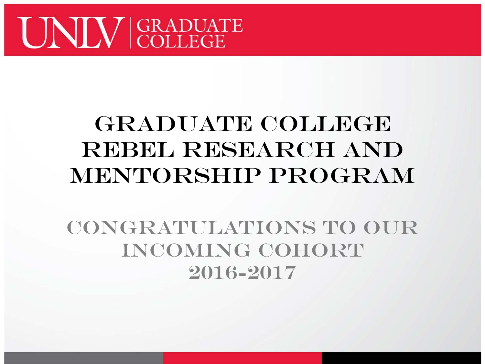

#### GRADUATE COLLEGE Rebel Research and Mentorship Program

Congratulations to our incoming cohort 2016-2017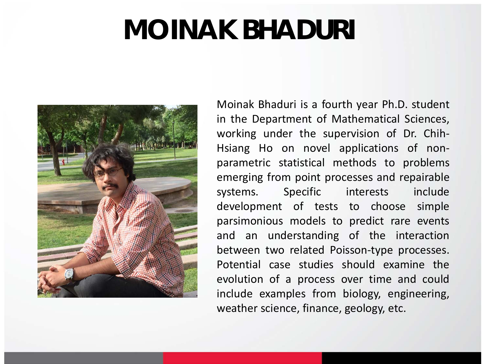## **MOINAK BHADURI**



Moinak Bhaduri is a fourth year Ph.D. student in the Department of Mathematical Sciences, working under the supervision of Dr. Chih-Hsiang Ho on novel applications of nonparametric statistical methods to problems emerging from point processes and repairable systems. Specific interests include development of tests to choose simple parsimonious models to predict rare events and an understanding of the interaction between two related Poisson-type processes. Potential case studies should examine the evolution of a process over time and could include examples from biology, engineering, weather science, finance, geology, etc.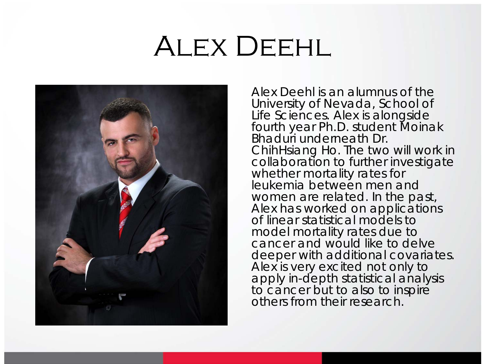## ALEX DEEHL



Alex Deehl is an alumnus of the University of Nevada, School of Life Sciences. Alex is alongside fourth year Ph.D. student Moinak Bhaduri underneath Dr. ChihHsiang Ho. The two will work in collaboration to further investigate whether mortality rates for leukemia between men and women are related. In the past, Alex has worked on applications of linear statistical models to model mortality rates due to cancer and would like to delve deeper with additional covariates. Alex is very excited not only to apply in-depth statistical analysis to cancer but to also to inspire others from their research.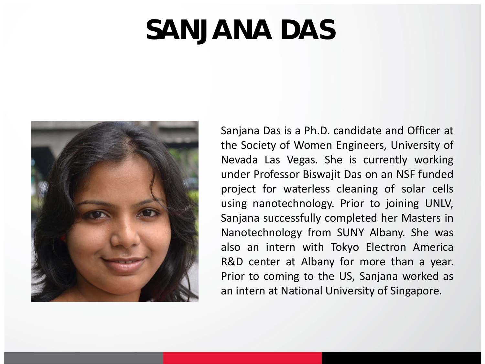### **SANJANA DAS**



Sanjana Das is a Ph.D. candidate and Officer at the Society of Women Engineers, University of Nevada Las Vegas. She is currently working under Professor Biswajit Das on an NSF funded project for waterless cleaning of solar cells using nanotechnology. Prior to joining UNLV, Sanjana successfully completed her Masters in Nanotechnology from SUNY Albany. She was also an intern with Tokyo Electron America R&D center at Albany for more than a year. Prior to coming to the US, Sanjana worked as an intern at National University of Singapore.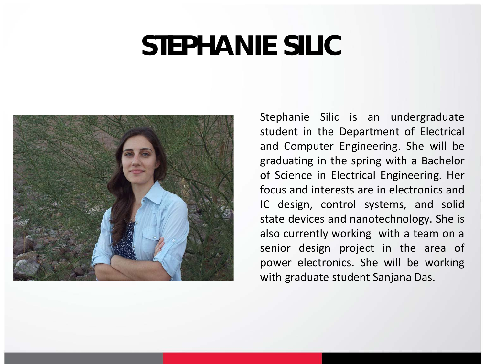#### **STEPHANIE SILIC**



Stephanie Silic is an undergraduate student in the Department of Electrical and Computer Engineering. She will be graduating in the spring with a Bachelor of Science in Electrical Engineering. Her focus and interests are in electronics and IC design, control systems, and solid state devices and nanotechnology. She is also currently working with a team on a senior design project in the area of power electronics. She will be working with graduate student Sanjana Das.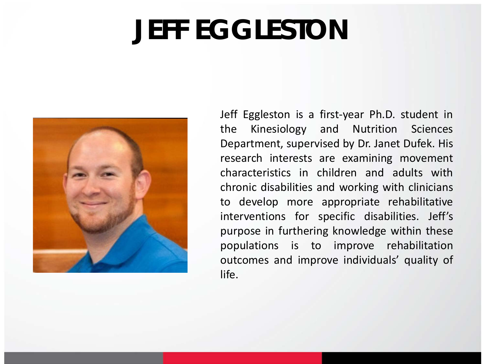# **JEFF EGGLESTON**



Jeff Eggleston is a first-year Ph.D. student in the Kinesiology and Nutrition Sciences Department, supervised by Dr. Janet Dufek. His research interests are examining movement characteristics in children and adults with chronic disabilities and working with clinicians to develop more appropriate rehabilitative interventions for specific disabilities. Jeff's purpose in furthering knowledge within these populations is to improve rehabilitation outcomes and improve individuals' quality of life.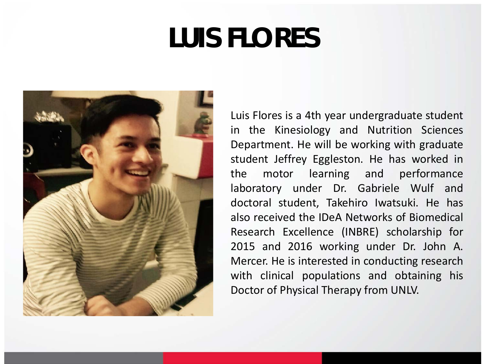### **LUIS FLORES**



Luis Flores is a 4th year undergraduate student in the Kinesiology and Nutrition Sciences Department. He will be working with graduate student Jeffrey Eggleston. He has worked in the motor learning and performance laboratory under Dr. Gabriele Wulf and doctoral student, Takehiro Iwatsuki. He has also received the IDeA Networks of Biomedical Research Excellence (INBRE) scholarship for 2015 and 2016 working under Dr. John A. Mercer. He is interested in conducting research with clinical populations and obtaining his Doctor of Physical Therapy from UNLV.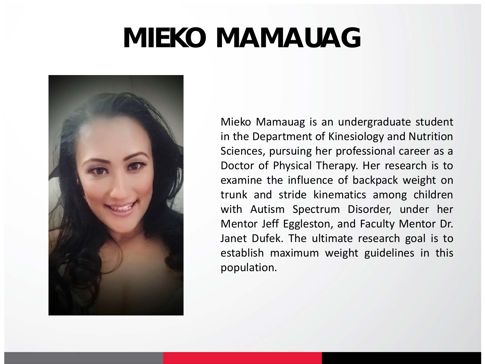### **MIEKO MAMAUAG**



Mieko Mamauag is an undergraduate student in the Department of Kinesiology and Nutrition Sciences, pursuing her professional career as a Doctor of Physical Therapy. Her research is to examine the influence of backpack weight on trunk and stride kinematics among children with Autism Spectrum Disorder, under her Mentor Jeff Eggleston, and Faculty Mentor Dr. Janet Dufek. The ultimate research goal is to establish maximum weight guidelines in this population.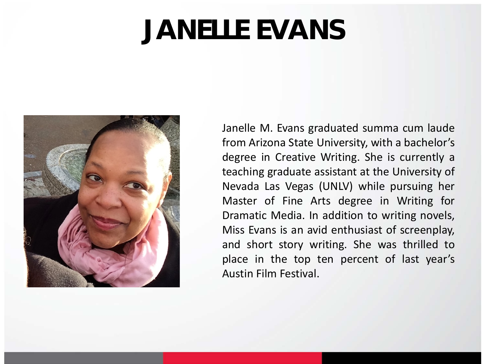### **JANELLE EVANS**



Janelle M. Evans graduated summa cum laude from Arizona State University, with a bachelor's degree in Creative Writing. She is currently a teaching graduate assistant at the University of Nevada Las Vegas (UNLV) while pursuing her Master of Fine Arts degree in Writing for Dramatic Media. In addition to writing novels, Miss Evans is an avid enthusiast of screenplay, and short story writing. She was thrilled to place in the top ten percent of last year's Austin Film Festival.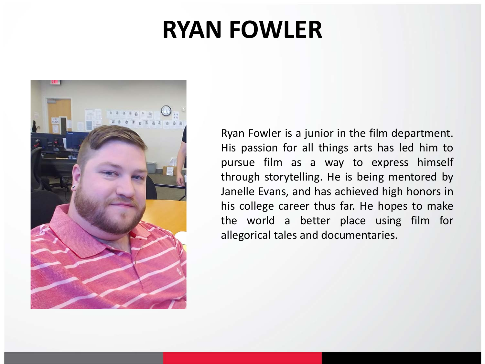#### **RYAN FOWLER**



Ryan Fowler is a junior in the film department. His passion for all things arts has led him to pursue film as a way to express himself through storytelling. He is being mentored by Janelle Evans, and has achieved high honors in his college career thus far. He hopes to make the world a better place using film for allegorical tales and documentaries.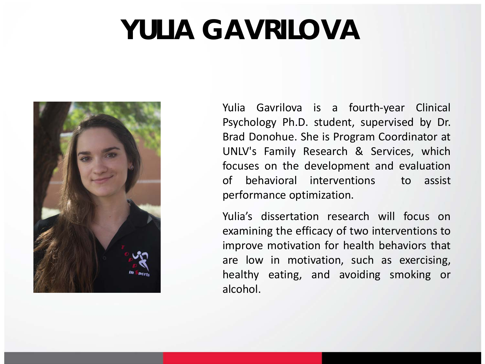# **YULIA GAVRILOVA**



Yulia Gavrilova is a fourth-year Clinical Psychology Ph.D. student, supervised by Dr. Brad Donohue. She is Program Coordinator at UNLV's Family Research & Services, which focuses on the development and evaluation of behavioral interventions to assist performance optimization.

Yulia's dissertation research will focus on examining the efficacy of two interventions to improve motivation for health behaviors that are low in motivation, such as exercising, healthy eating, and avoiding smoking or alcohol.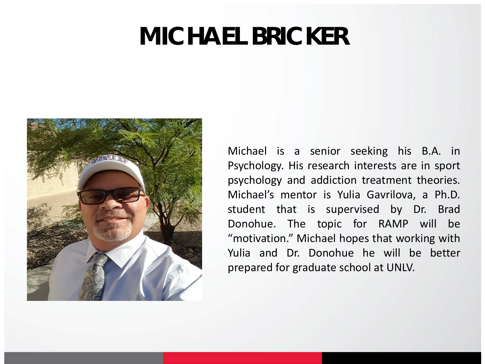#### **MICHAEL BRICKER**



Michael is a senior seeking his B.A. in Psychology. His research interests are in sport psychology and addiction treatment theories. Michael's mentor is Yulia Gavrilova, a Ph.D. student that is supervised by Dr. Brad Donohue. The topic for RAMP will be "motivation." Michael hopes that working with Yulia and Dr. Donohue he will be better prepared for graduate school at UNLV.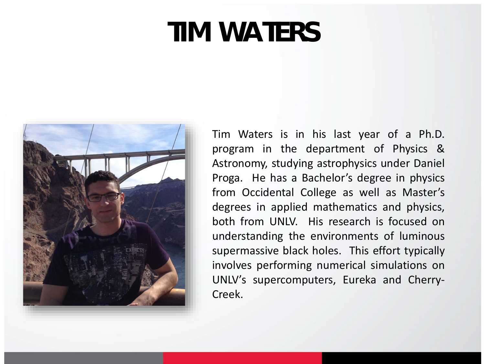## **TIM WATERS**



Tim Waters is in his last year of a Ph.D. program in the department of Physics & Astronomy, studying astrophysics under Daniel Proga. He has a Bachelor's degree in physics from Occidental College as well as Master's degrees in applied mathematics and physics, both from UNLV. His research is focused on understanding the environments of luminous supermassive black holes. This effort typically involves performing numerical simulations on UNLV's supercomputers, Eureka and Cherry-Creek.